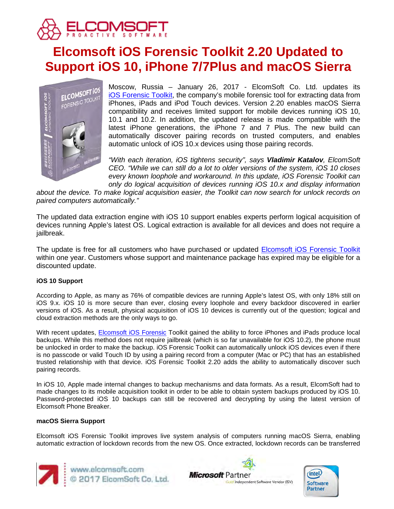

# **Elcomsoft iOS Forensic Toolkit 2.20 Updated to Support iOS 10, iPhone 7/7Plus and macOS Sierra**



Moscow, Russia – January 26, 2017 - ElcomSoft Co. Ltd. updates its [iOS Forensic Toolkit,](https://www.elcomsoft.com/eift.html) the company's mobile forensic tool for extracting data from iPhones, iPads and iPod Touch devices. Version 2.20 enables macOS Sierra compatibility and receives limited support for mobile devices running iOS 10, 10.1 and 10.2. In addition, the updated release is made compatible with the latest iPhone generations, the iPhone 7 and 7 Plus. The new build can automatically discover pairing records on trusted computers, and enables automatic unlock of iOS 10.x devices using those pairing records.

*"With each iteration, iOS tightens security", says Vladimir Katalov, ElcomSoft CEO. "While we can still do a lot to older versions of the system, iOS 10 closes every known loophole and workaround. In this update, iOS Forensic Toolkit can only do logical acquisition of devices running iOS 10.x and display information* 

*about the device. To make logical acquisition easier, the Toolkit can now search for unlock records on paired computers automatically."*

The updated data extraction engine with iOS 10 support enables experts perform logical acquisition of devices running Apple's latest OS. Logical extraction is available for all devices and does not require a jailbreak.

The update is free for all customers who have purchased or updated **Elcomsoft iOS Forensic Toolkit** within one year. Customers whose support and maintenance package has expired may be eligible for a discounted update.

## **iOS 10 Support**

According to Apple, as many as 76% of compatible devices are running Apple's latest OS, with only 18% still on iOS 9.x. iOS 10 is more secure than ever, closing every loophole and every backdoor discovered in earlier versions of iOS. As a result, physical acquisition of iOS 10 devices is currently out of the question; logical and cloud extraction methods are the only ways to go.

With recent updates, [Elcomsoft iOS Forensic](https://www.elcomsoft.com/eift.html) Toolkit gained the ability to force iPhones and iPads produce local backups. While this method does not require jailbreak (which is so far unavailable for iOS 10.2), the phone must be unlocked in order to make the backup. iOS Forensic Toolkit can automatically unlock iOS devices even if there is no passcode or valid Touch ID by using a pairing record from a computer (Mac or PC) that has an established trusted relationship with that device. iOS Forensic Toolkit 2.20 adds the ability to automatically discover such pairing records.

In iOS 10, Apple made internal changes to backup mechanisms and data formats. As a result, ElcomSoft had to made changes to its mobile acquisition toolkit in order to be able to obtain system backups produced by iOS 10. Password-protected iOS 10 backups can still be recovered and decrypting by using the latest version of Elcomsoft Phone Breaker.

### **macOS Sierra Support**

Elcomsoft iOS Forensic Toolkit improves live system analysis of computers running macOS Sierra, enabling automatic extraction of lockdown records from the new OS. Once extracted, lockdown records can be transferred